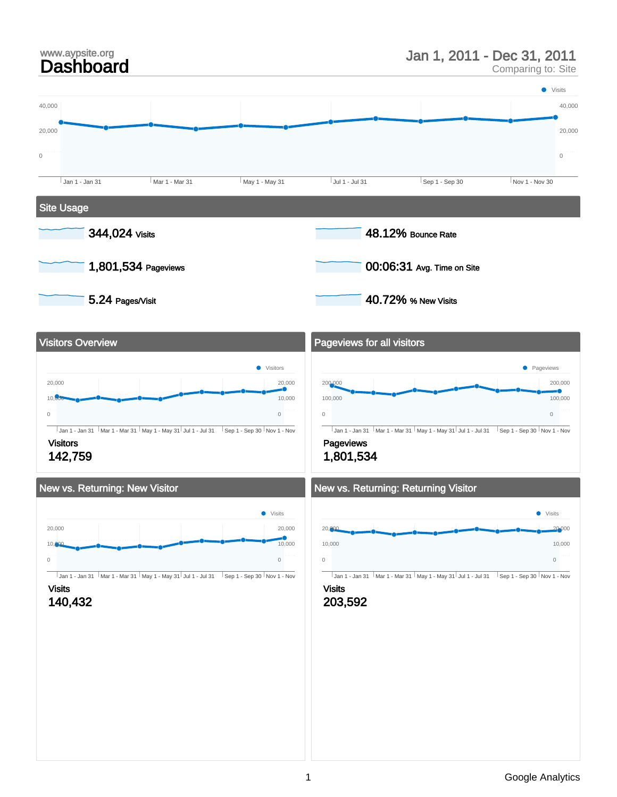# www.aypsite.org<br>**Dashboard**

### Jan 1, 2011 - Dec 31, 2011

Comparing to: Site

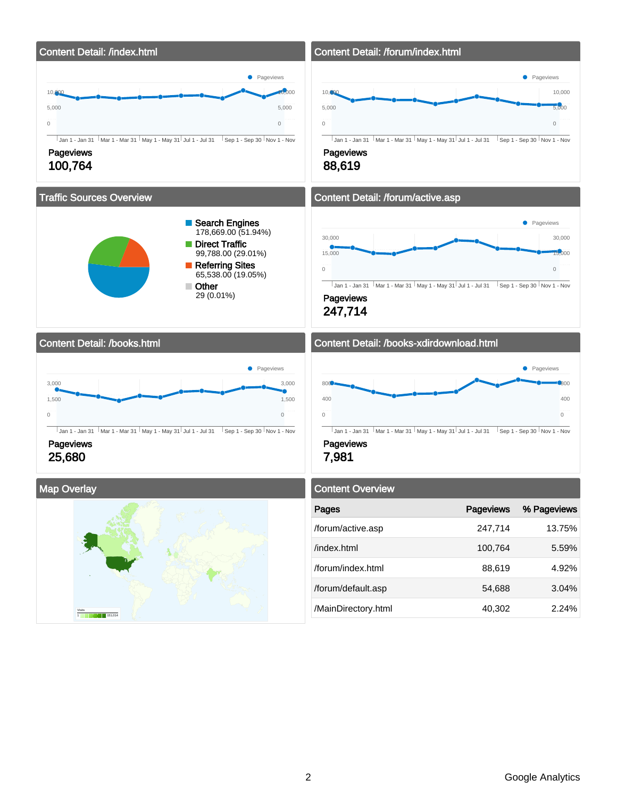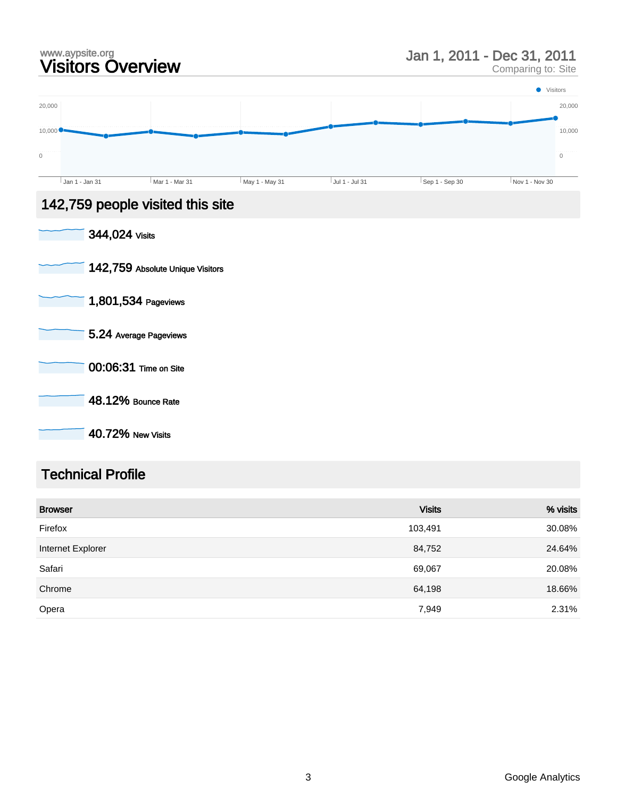### www.aypsite.org<br>Visitors Overview www.aypsite.org<br> **Visitors Overview State State State Comparing to: Site** Jan 1, 2011 - Dec 31, 2011



### 142,759 people visited this site

| 344,024 Visits                   |
|----------------------------------|
| 142,759 Absolute Unique Visitors |
| 1,801,534 Pageviews              |
| 5.24 Average Pageviews           |
| 00:06:31 Time on Site            |
| 48.12% Bounce Rate               |
| <b>40.72% New Visits</b>         |

### Technical Profile

| <b>Browser</b>    | <b>Visits</b> | % visits |
|-------------------|---------------|----------|
| Firefox           | 103,491       | 30.08%   |
| Internet Explorer | 84,752        | 24.64%   |
| Safari            | 69,067        | 20.08%   |
| Chrome            | 64,198        | 18.66%   |
| Opera             | 7,949         | 2.31%    |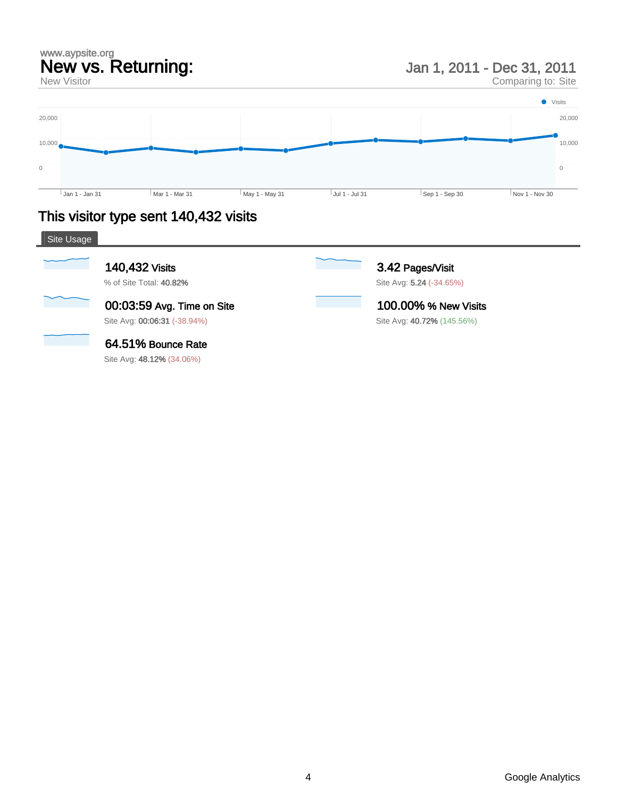### www.aypsite.org New vs. Returning:

New Visitor

Jan 1, 2011 - Dec 31, 2011

Comparing to: Site



### This visitor type sent 140,432 visits

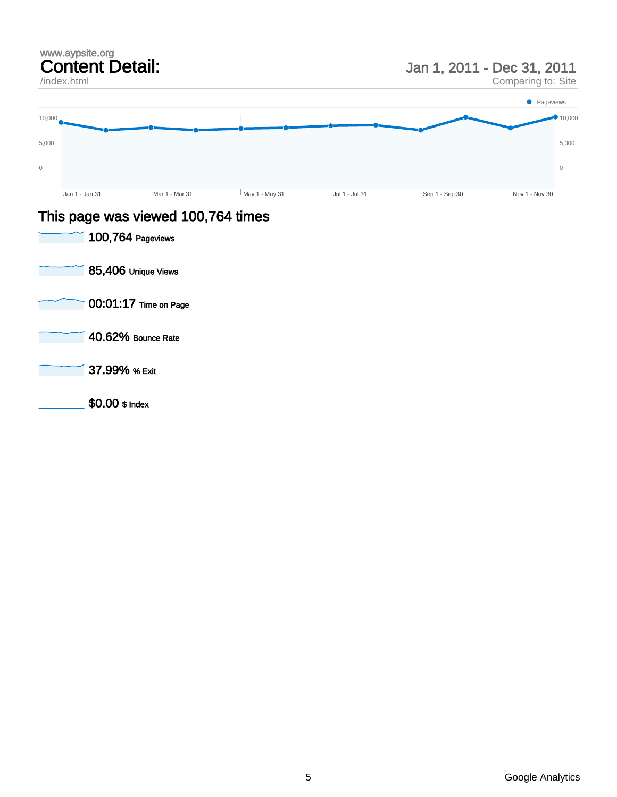### www.aypsite.org Content Detail: /index.html Jan 1, 2011 - Dec 31, 2011 Comparing to: Site  $\boldsymbol{0}$ 5,000 10,000  $\overline{0}$ 5,000  $10,000$ Jan 1 - Jan 31 Mar 1 - Mar 31 May 1 - May 31 Jul 1 - Jul 31 Sep 1 - Sep 30 Nov 1 - Nov 30 **•** Pageviews

### This page was viewed 100,764 times

100,764 Pageviews 85,406 Unique Views 00:01:17 Time on Page 40.62% Bounce Rate 37.99% % Exit \$0.00 \$ Index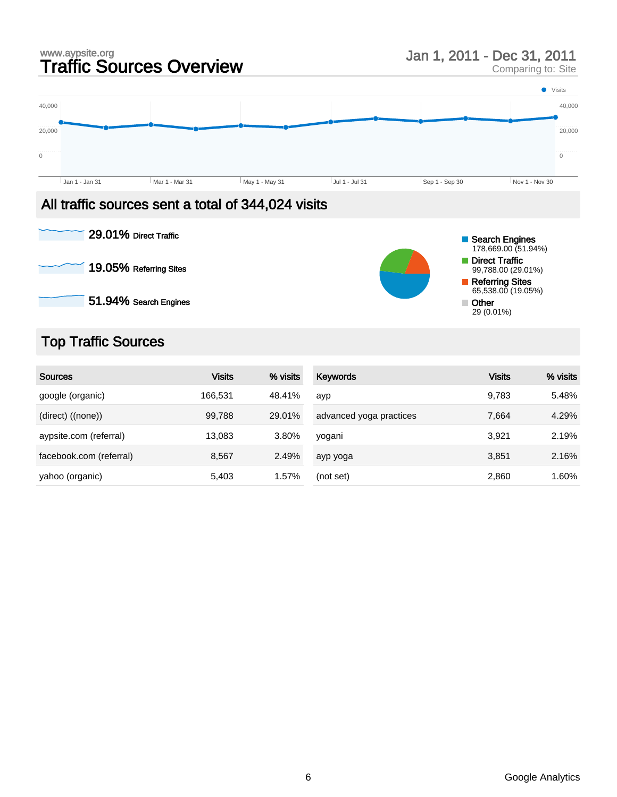# www.aypsite.org<br> **Traffic Sources Overview Manual Star 1, 2011 - Dec 31, 2011**<br>
Comparing to: Site

Comparing to: Site



### All traffic sources sent a total of 344,024 visits



### Top Traffic Sources

| <b>Sources</b>          | <b>Visits</b> | % visits | Keywords                | <b>Visits</b> | % visits |
|-------------------------|---------------|----------|-------------------------|---------------|----------|
| google (organic)        | 166,531       | 48.41%   | ayp                     | 9,783         | 5.48%    |
| $(direct)$ $((none))$   | 99,788        | 29.01%   | advanced yoga practices | 7.664         | 4.29%    |
| aypsite.com (referral)  | 13.083        | 3.80%    | yogani                  | 3.921         | 2.19%    |
| facebook.com (referral) | 8,567         | 2.49%    | ayp yoga                | 3,851         | 2.16%    |
| yahoo (organic)         | 5,403         | 1.57%    | (not set)               | 2,860         | 1.60%    |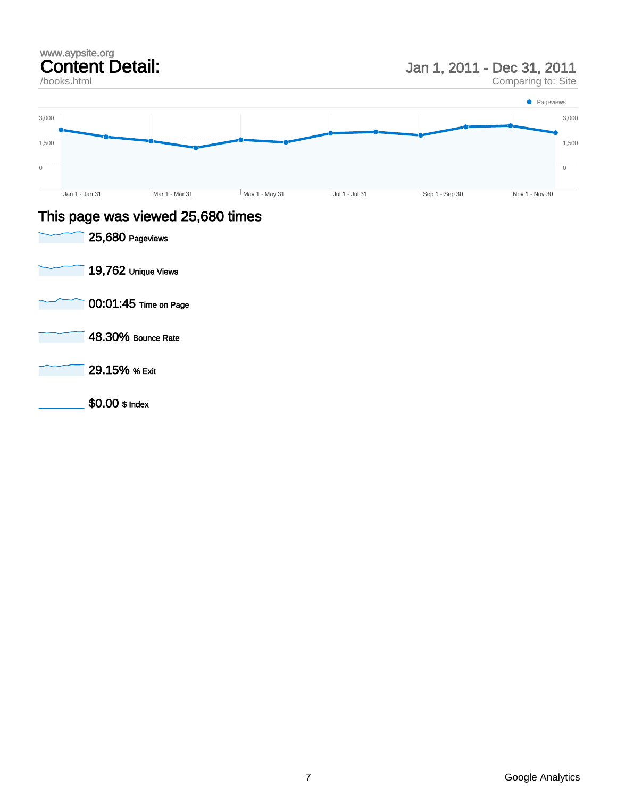### Content Detail: /books.html Jan 1, 2011 - Dec 31, 2011 Comparing to: Site 1,500 3,000  $\,$   $\,$   $\,$ 1,500 3,000 Jan 1 - Jan 31 Mar 1 - Mar 31 May 1 - May 31 Jul 1 - Jul 31 Sep 1 - Sep 30 Nov 1 - Nov 30 • Pageviews

### This page was viewed 25,680 times



www.aypsite.org

 $\boldsymbol{0}$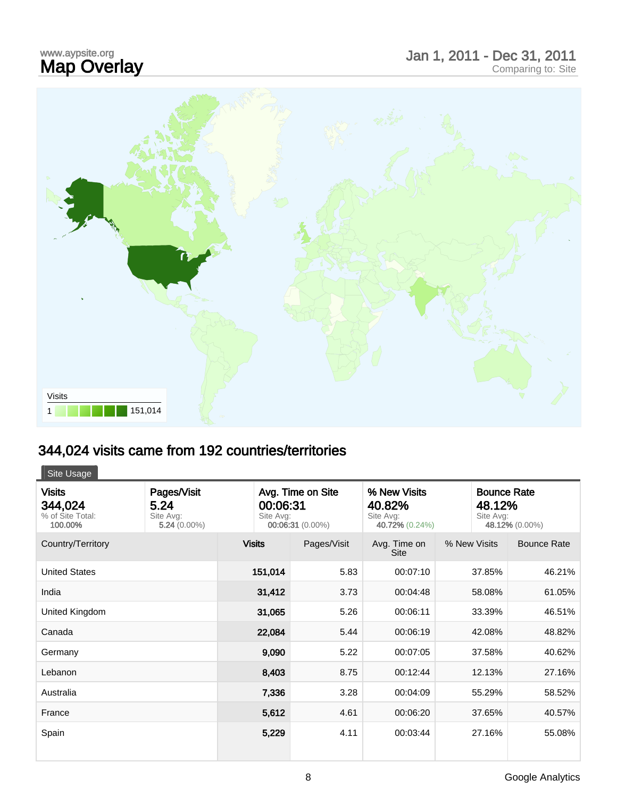# www.aypsite.org<br>**Map Overlay**

## www.aypsite.org<br> **Map Overlay Exercise Site Report of Alliance Comparing to:** Site Comparing to: Site





### 344,024 visits came from 192 countries/territories

| Site Usage                                              |                                                    |                                                                |             |                                                       |              |                                                             |  |
|---------------------------------------------------------|----------------------------------------------------|----------------------------------------------------------------|-------------|-------------------------------------------------------|--------------|-------------------------------------------------------------|--|
| <b>Visits</b><br>344,024<br>% of Site Total:<br>100.00% | Pages/Visit<br>5.24<br>Site Avg:<br>$5.24(0.00\%)$ | Avg. Time on Site<br>00:06:31<br>Site Avg:<br>00:06:31 (0.00%) |             | % New Visits<br>40.82%<br>Site Avg:<br>40.72% (0.24%) |              | <b>Bounce Rate</b><br>48.12%<br>Site Avg:<br>48.12% (0.00%) |  |
| Country/Territory                                       |                                                    | <b>Visits</b>                                                  | Pages/Visit | Avg. Time on<br><b>Site</b>                           | % New Visits | <b>Bounce Rate</b>                                          |  |
| <b>United States</b>                                    |                                                    | 151,014                                                        | 5.83        | 00:07:10                                              | 37.85%       | 46.21%                                                      |  |
| India                                                   |                                                    | 31,412                                                         | 3.73        | 00:04:48                                              | 58.08%       | 61.05%                                                      |  |
| United Kingdom                                          |                                                    | 31,065                                                         | 5.26        | 00:06:11                                              | 33.39%       | 46.51%                                                      |  |
| Canada                                                  |                                                    | 22,084                                                         | 5.44        | 00:06:19                                              | 42.08%       | 48.82%                                                      |  |
| Germany                                                 |                                                    | 9,090                                                          | 5.22        | 00:07:05                                              | 37.58%       | 40.62%                                                      |  |
| Lebanon                                                 |                                                    | 8,403                                                          | 8.75        | 00:12:44                                              | 12.13%       | 27.16%                                                      |  |
| Australia                                               |                                                    | 7,336                                                          | 3.28        | 00:04:09                                              | 55.29%       | 58.52%                                                      |  |
| France                                                  |                                                    | 5,612                                                          | 4.61        | 00:06:20                                              | 37.65%       | 40.57%                                                      |  |
| Spain                                                   |                                                    | 5,229                                                          | 4.11        | 00:03:44                                              | 27.16%       | 55.08%                                                      |  |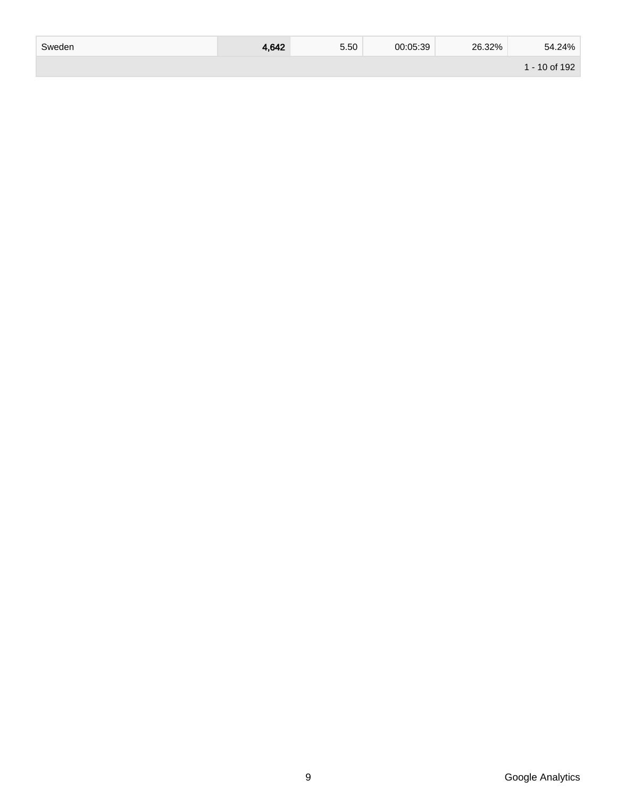| Sweden | 4.642 | 5.50 | 00:05:39 | 26.32% | 54.24%        |
|--------|-------|------|----------|--------|---------------|
|        |       |      |          |        | 1 - 10 of 192 |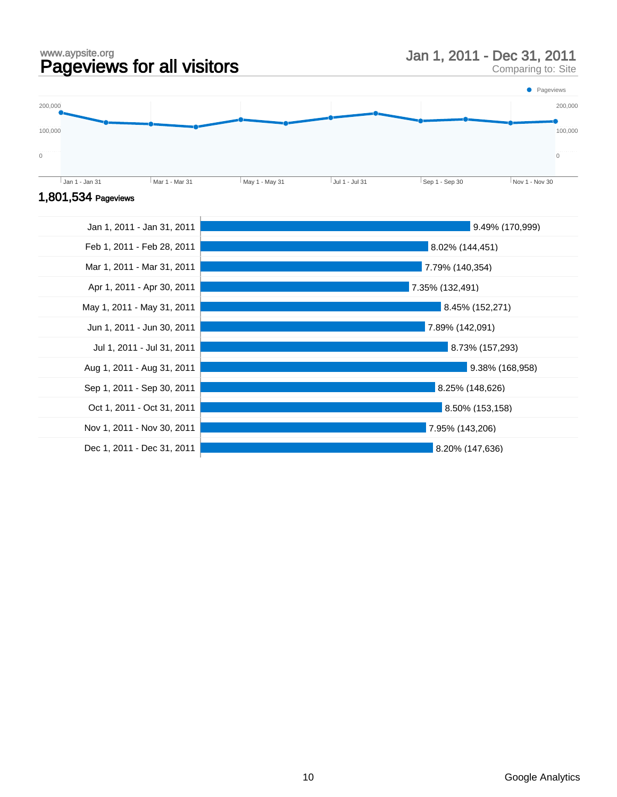www.aypsite.org www.aypsite.org<br> **Pageviews for all visitors** Man 1, 2011 - Dec 31, 2011<br>
Comparing to: Site

Comparing to: Site





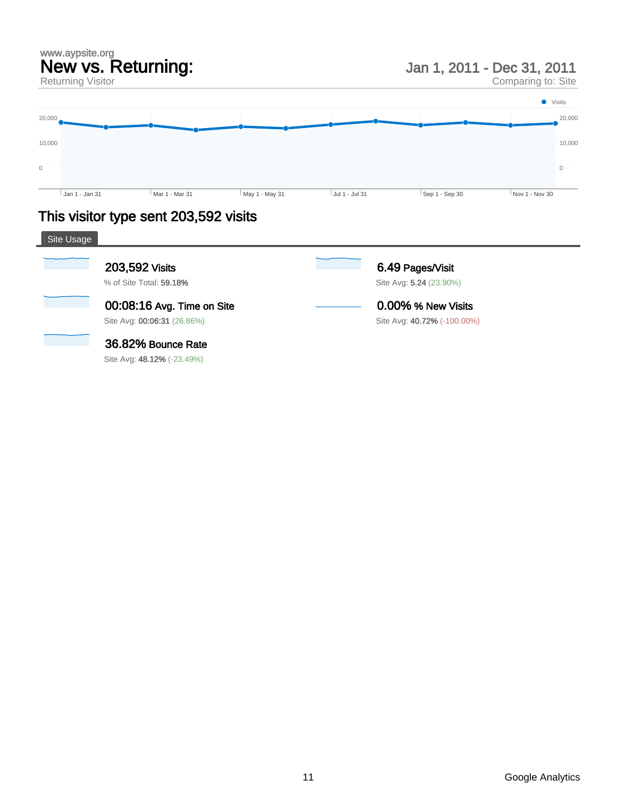### www.aypsite.org New vs. Returning:

Returning Visitor

Jan 1, 2011 - Dec 31, 2011

Comparing to: Site



### This visitor type sent 203,592 visits

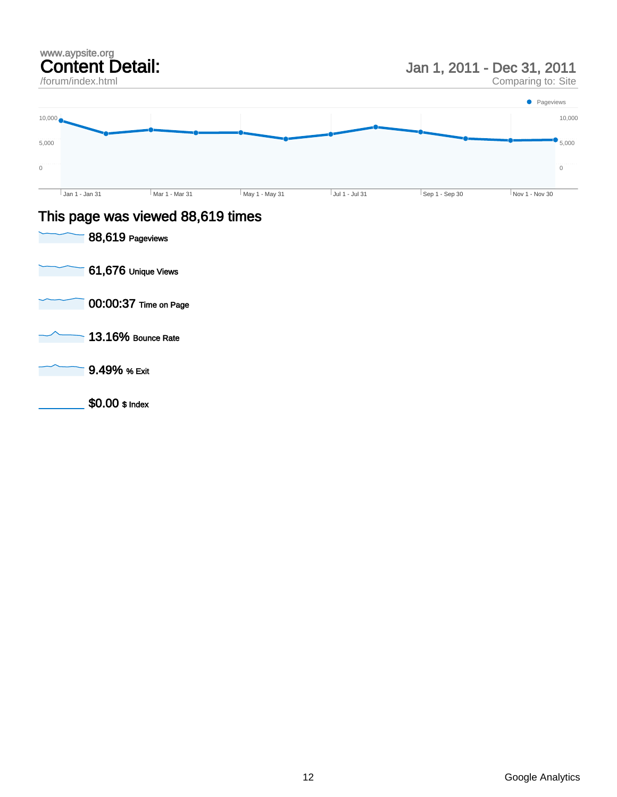### www.aypsite.org Content Detail:

/forum/index.html

Jan 1, 2011 - Dec 31, 2011

Comparing to: Site



### This page was viewed 88,619 times

| 88,619 Pageviews      |
|-----------------------|
| 61,676 Unique Views   |
| 00:00:37 Time on Page |
| 13.16% Bounce Rate    |
| 9.49% % Exit          |
| $$0.00$ \$ Index      |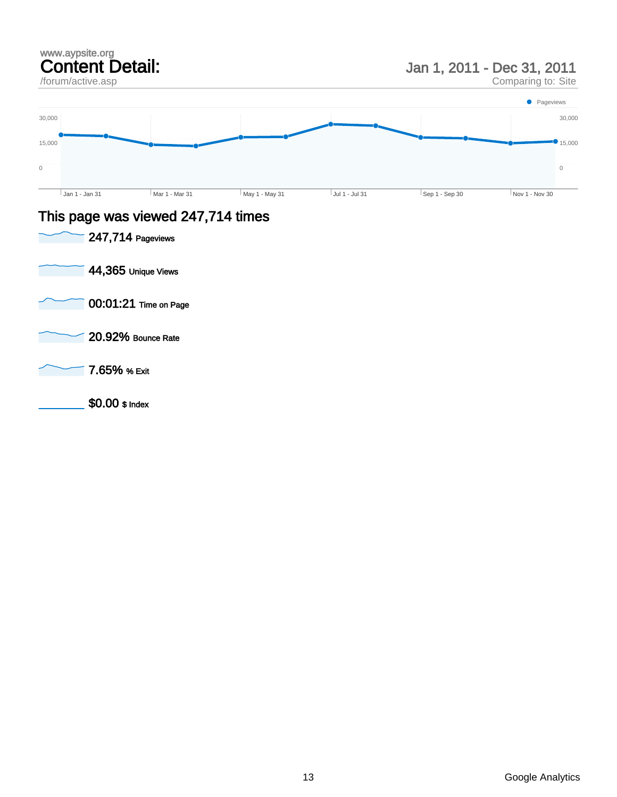### www.aypsite.org Content Detail: /forum/active.asp Jan 1, 2011 - Dec 31, 2011 Comparing to: Site  $\boldsymbol{0}$ 15,000 30,000  $\,$   $\,$   $\,$  $\bullet$  15,000 30,000 Jan 1 - Jan 31 Mar 1 - Mar 31 May 1 - May 31 Jul 1 - Jul 31 Sep 1 - Sep 30 Nov 1 - Nov 30 **Pageviews**

### This page was viewed 247,714 times

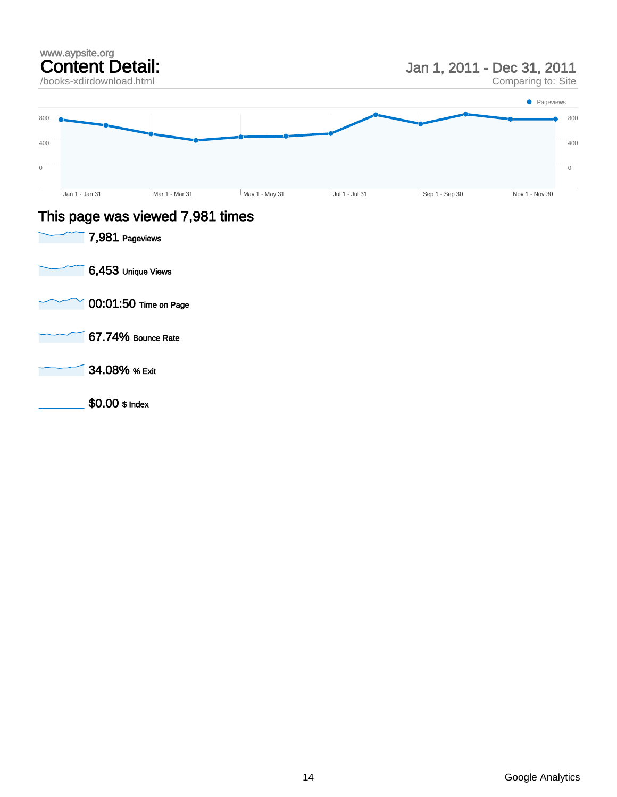

### This page was viewed 7,981 times